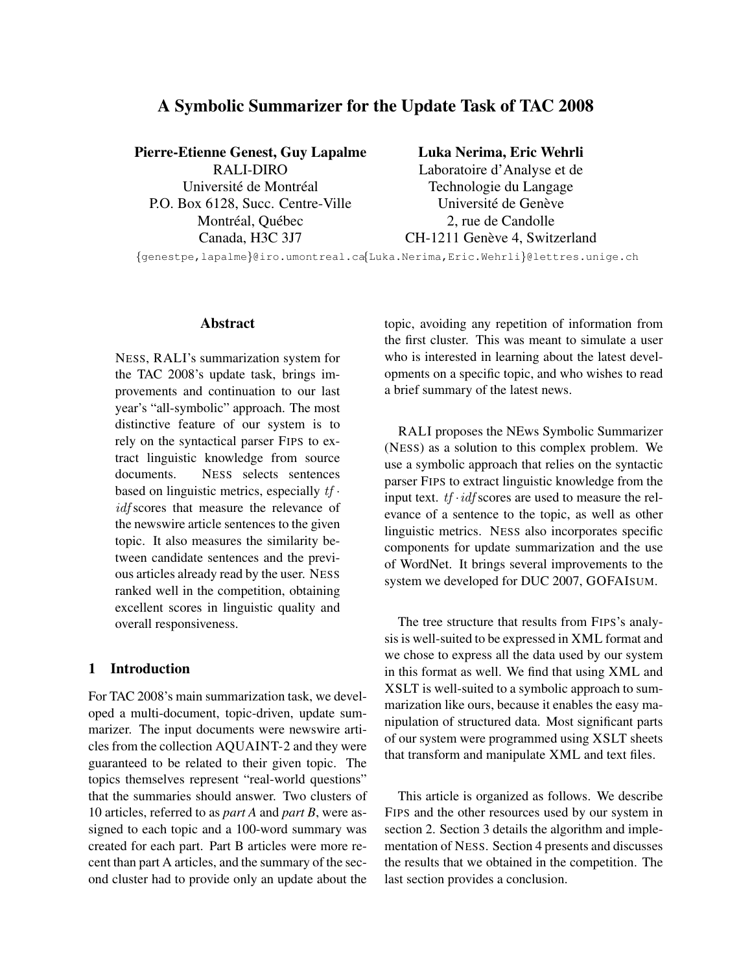# A Symbolic Summarizer for the Update Task of TAC 2008

Pierre-Etienne Genest, Guy Lapalme RALI-DIRO Université de Montréal P.O. Box 6128, Succ. Centre-Ville Montréal, Québec Canada, H3C 3J7

#### Luka Nerima, Eric Wehrli

Laboratoire d'Analyse et de Technologie du Langage Université de Genève 2, rue de Candolle CH-1211 Genève 4, Switzerland

{genestpe,lapalme}@iro.umontreal.ca {Luka.Nerima,Eric.Wehrli}@lettres.unige.ch

### Abstract

NESS, RALI's summarization system for the TAC 2008's update task, brings improvements and continuation to our last year's "all-symbolic" approach. The most distinctive feature of our system is to rely on the syntactical parser FIPS to extract linguistic knowledge from source documents. NESS selects sentences based on linguistic metrics, especially  $tf \cdot$ idf scores that measure the relevance of the newswire article sentences to the given topic. It also measures the similarity between candidate sentences and the previous articles already read by the user. NESS ranked well in the competition, obtaining excellent scores in linguistic quality and overall responsiveness.

# 1 Introduction

For TAC 2008's main summarization task, we developed a multi-document, topic-driven, update summarizer. The input documents were newswire articles from the collection AQUAINT-2 and they were guaranteed to be related to their given topic. The topics themselves represent "real-world questions" that the summaries should answer. Two clusters of 10 articles, referred to as *part A* and *part B*, were assigned to each topic and a 100-word summary was created for each part. Part B articles were more recent than part A articles, and the summary of the second cluster had to provide only an update about the topic, avoiding any repetition of information from the first cluster. This was meant to simulate a user who is interested in learning about the latest developments on a specific topic, and who wishes to read a brief summary of the latest news.

RALI proposes the NEws Symbolic Summarizer (NESS) as a solution to this complex problem. We use a symbolic approach that relies on the syntactic parser FIPS to extract linguistic knowledge from the input text.  $tf \cdot idf$  scores are used to measure the relevance of a sentence to the topic, as well as other linguistic metrics. NESS also incorporates specific components for update summarization and the use of WordNet. It brings several improvements to the system we developed for DUC 2007, GOFAISUM.

The tree structure that results from FIPS's analysis is well-suited to be expressed in XML format and we chose to express all the data used by our system in this format as well. We find that using XML and XSLT is well-suited to a symbolic approach to summarization like ours, because it enables the easy manipulation of structured data. Most significant parts of our system were programmed using XSLT sheets that transform and manipulate XML and text files.

This article is organized as follows. We describe FIPS and the other resources used by our system in section 2. Section 3 details the algorithm and implementation of NESS. Section 4 presents and discusses the results that we obtained in the competition. The last section provides a conclusion.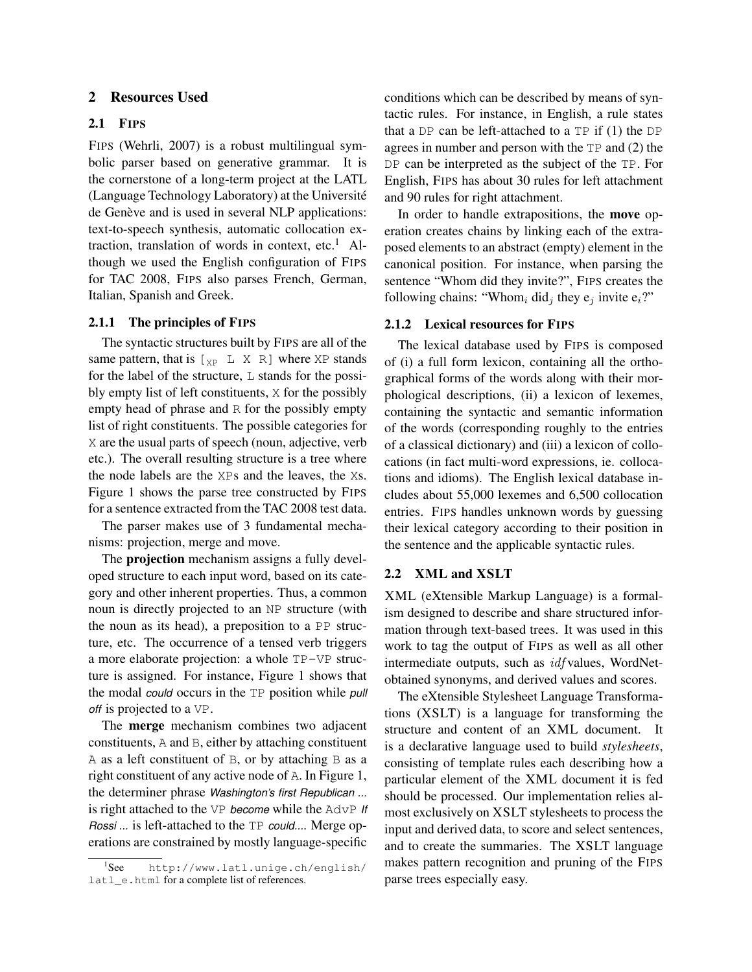### 2 Resources Used

### 2.1 FIPS

FIPS (Wehrli, 2007) is a robust multilingual symbolic parser based on generative grammar. It is the cornerstone of a long-term project at the LATL (Language Technology Laboratory) at the Universite´ de Genève and is used in several NLP applications: text-to-speech synthesis, automatic collocation extraction, translation of words in context, etc.<sup>1</sup> Although we used the English configuration of FIPS for TAC 2008, FIPS also parses French, German, Italian, Spanish and Greek.

### 2.1.1 The principles of FIPS

The syntactic structures built by FIPS are all of the same pattern, that is  $\begin{bmatrix} x_P & L & X & R \end{bmatrix}$  where XP stands for the label of the structure, L stands for the possibly empty list of left constituents, X for the possibly empty head of phrase and R for the possibly empty list of right constituents. The possible categories for X are the usual parts of speech (noun, adjective, verb etc.). The overall resulting structure is a tree where the node labels are the XPs and the leaves, the Xs. Figure 1 shows the parse tree constructed by FIPS for a sentence extracted from the TAC 2008 test data.

The parser makes use of 3 fundamental mechanisms: projection, merge and move.

The projection mechanism assigns a fully developed structure to each input word, based on its category and other inherent properties. Thus, a common noun is directly projected to an NP structure (with the noun as its head), a preposition to a PP structure, etc. The occurrence of a tensed verb triggers a more elaborate projection: a whole TP-VP structure is assigned. For instance, Figure 1 shows that the modal *could* occurs in the TP position while *pull off* is projected to a VP.

The merge mechanism combines two adjacent constituents, A and B, either by attaching constituent A as a left constituent of B, or by attaching B as a right constituent of any active node of A. In Figure 1, the determiner phrase *Washington's first Republican ...* is right attached to the VP *become* while the AdvP *If Rossi ...* is left-attached to the TP *could...*. Merge operations are constrained by mostly language-specific

conditions which can be described by means of syntactic rules. For instance, in English, a rule states that a DP can be left-attached to a  $TP$  if  $(1)$  the DP agrees in number and person with the TP and (2) the DP can be interpreted as the subject of the TP. For English, FIPS has about 30 rules for left attachment and 90 rules for right attachment.

In order to handle extrapositions, the move operation creates chains by linking each of the extraposed elements to an abstract (empty) element in the canonical position. For instance, when parsing the sentence "Whom did they invite?", FIPS creates the following chains: "Whom<sub>i</sub> did<sub>j</sub> they  $e_j$  invite  $e_i$ ?"

### 2.1.2 Lexical resources for FIPS

The lexical database used by FIPS is composed of (i) a full form lexicon, containing all the orthographical forms of the words along with their morphological descriptions, (ii) a lexicon of lexemes, containing the syntactic and semantic information of the words (corresponding roughly to the entries of a classical dictionary) and (iii) a lexicon of collocations (in fact multi-word expressions, ie. collocations and idioms). The English lexical database includes about 55,000 lexemes and 6,500 collocation entries. FIPS handles unknown words by guessing their lexical category according to their position in the sentence and the applicable syntactic rules.

### 2.2 XML and XSLT

XML (eXtensible Markup Language) is a formalism designed to describe and share structured information through text-based trees. It was used in this work to tag the output of FIPS as well as all other intermediate outputs, such as *idf* values, WordNetobtained synonyms, and derived values and scores.

The eXtensible Stylesheet Language Transformations (XSLT) is a language for transforming the structure and content of an XML document. It is a declarative language used to build *stylesheets*, consisting of template rules each describing how a particular element of the XML document it is fed should be processed. Our implementation relies almost exclusively on XSLT stylesheets to process the input and derived data, to score and select sentences, and to create the summaries. The XSLT language makes pattern recognition and pruning of the FIPS parse trees especially easy.

 ${}^{1}$ See http://www.latl.unige.ch/english/ latl\_e.html for a complete list of references.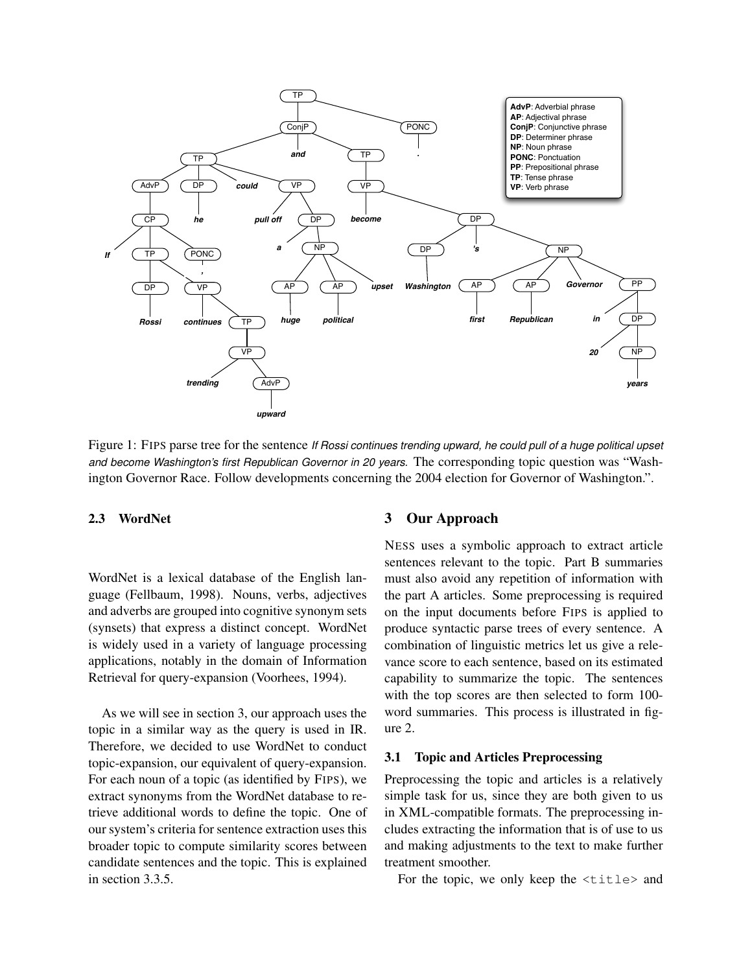

Figure 1: FIPS parse tree for the sentence *If Rossi continues trending upward, he could pull of a huge political upset and become Washington's first Republican Governor in 20 years.* The corresponding topic question was "Washington Governor Race. Follow developments concerning the 2004 election for Governor of Washington.".

### 2.3 WordNet

WordNet is a lexical database of the English language (Fellbaum, 1998). Nouns, verbs, adjectives and adverbs are grouped into cognitive synonym sets (synsets) that express a distinct concept. WordNet is widely used in a variety of language processing applications, notably in the domain of Information Retrieval for query-expansion (Voorhees, 1994).

As we will see in section 3, our approach uses the topic in a similar way as the query is used in IR. Therefore, we decided to use WordNet to conduct topic-expansion, our equivalent of query-expansion. For each noun of a topic (as identified by FIPS), we extract synonyms from the WordNet database to retrieve additional words to define the topic. One of our system's criteria for sentence extraction uses this broader topic to compute similarity scores between candidate sentences and the topic. This is explained in section 3.3.5.

# 3 Our Approach

NESS uses a symbolic approach to extract article sentences relevant to the topic. Part B summaries must also avoid any repetition of information with the part A articles. Some preprocessing is required on the input documents before FIPS is applied to produce syntactic parse trees of every sentence. A combination of linguistic metrics let us give a relevance score to each sentence, based on its estimated capability to summarize the topic. The sentences with the top scores are then selected to form 100 word summaries. This process is illustrated in figure 2.

#### 3.1 Topic and Articles Preprocessing

Preprocessing the topic and articles is a relatively simple task for us, since they are both given to us in XML-compatible formats. The preprocessing includes extracting the information that is of use to us and making adjustments to the text to make further treatment smoother.

For the topic, we only keep the <title> and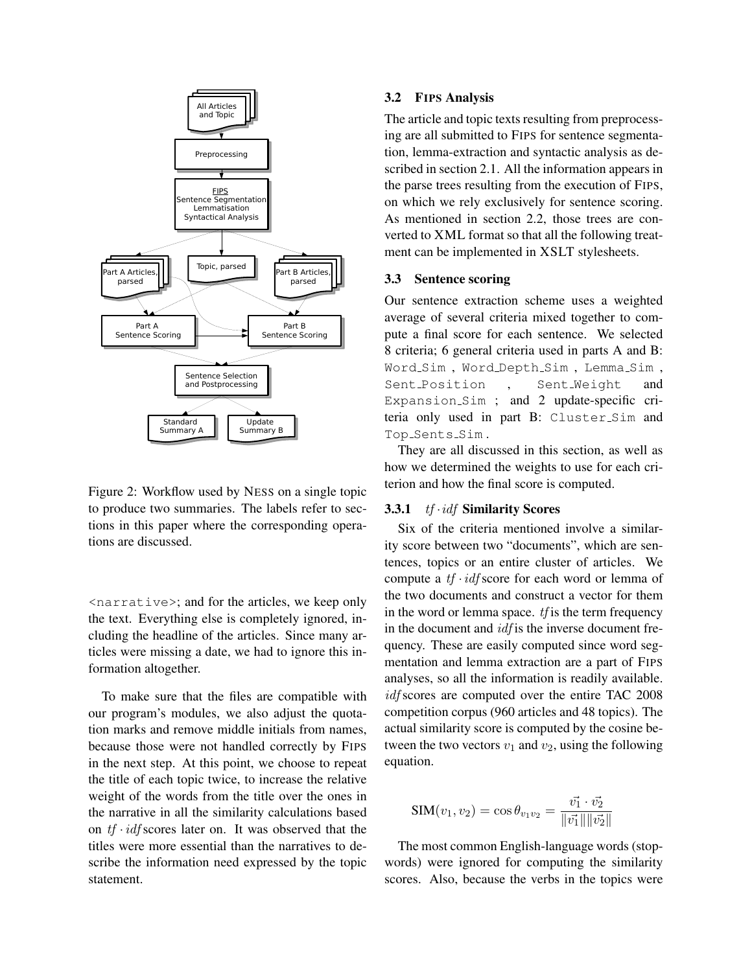

Figure 2: Workflow used by NESS on a single topic to produce two summaries. The labels refer to sections in this paper where the corresponding operations are discussed.

<narrative>; and for the articles, we keep only the text. Everything else is completely ignored, including the headline of the articles. Since many articles were missing a date, we had to ignore this information altogether.

To make sure that the files are compatible with our program's modules, we also adjust the quotation marks and remove middle initials from names, because those were not handled correctly by FIPS in the next step. At this point, we choose to repeat the title of each topic twice, to increase the relative weight of the words from the title over the ones in the narrative in all the similarity calculations based on  $tf \cdot idf$  scores later on. It was observed that the titles were more essential than the narratives to describe the information need expressed by the topic statement.

### 3.2 FIPS Analysis

The article and topic texts resulting from preprocessing are all submitted to FIPS for sentence segmentation, lemma-extraction and syntactic analysis as described in section 2.1. All the information appears in the parse trees resulting from the execution of FIPS, on which we rely exclusively for sentence scoring. As mentioned in section 2.2, those trees are converted to XML format so that all the following treatment can be implemented in XSLT stylesheets.

### 3.3 Sentence scoring

Our sentence extraction scheme uses a weighted average of several criteria mixed together to compute a final score for each sentence. We selected 8 criteria; 6 general criteria used in parts A and B: Word\_Sim, Word\_Depth\_Sim, Lemma\_Sim, Sent\_Position, Sent\_Weight and Expansion\_Sim ; and 2 update-specific criteria only used in part B: Cluster Sim and Top\_Sents\_Sim.

They are all discussed in this section, as well as how we determined the weights to use for each criterion and how the final score is computed.

### 3.3.1 *tf · idf* Similarity Scores

Six of the criteria mentioned involve a similarity score between two "documents", which are sentences, topics or an entire cluster of articles. We compute a  $tf \cdot idf$  score for each word or lemma of the two documents and construct a vector for them in the word or lemma space.  $tf$  is the term frequency in the document and  $\text{id}$  f is the inverse document frequency. These are easily computed since word segmentation and lemma extraction are a part of FIPS analyses, so all the information is readily available. idf scores are computed over the entire TAC 2008 competition corpus (960 articles and 48 topics). The actual similarity score is computed by the cosine between the two vectors  $v_1$  and  $v_2$ , using the following equation.

$$
SIM(v_1, v_2) = \cos \theta_{v_1 v_2} = \frac{\vec{v_1} \cdot \vec{v_2}}{\|\vec{v_1}\| \|\vec{v_2}\|}
$$

The most common English-language words (stopwords) were ignored for computing the similarity scores. Also, because the verbs in the topics were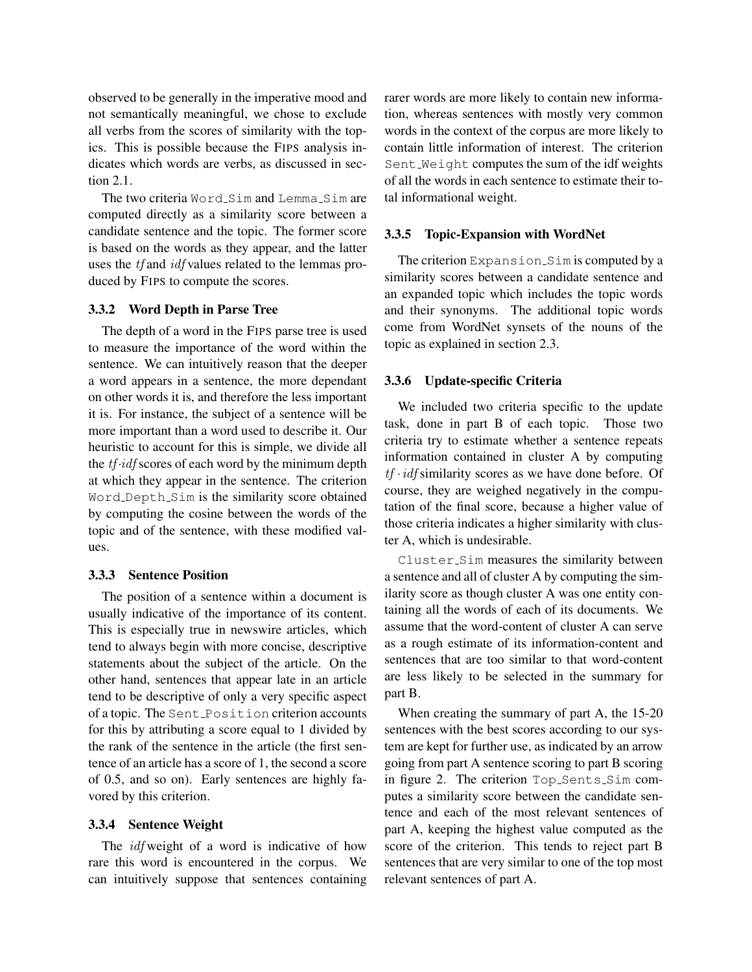observed to be generally in the imperative mood and not semantically meaningful, we chose to exclude all verbs from the scores of similarity with the topics. This is possible because the FIPS analysis indicates which words are verbs, as discussed in section 2.1.

The two criteria Word\_Sim and Lemma\_Sim are computed directly as a similarity score between a candidate sentence and the topic. The former score is based on the words as they appear, and the latter uses the *tf* and *idf* values related to the lemmas produced by FIPS to compute the scores.

#### 3.3.2 Word Depth in Parse Tree

The depth of a word in the FIPS parse tree is used to measure the importance of the word within the sentence. We can intuitively reason that the deeper a word appears in a sentence, the more dependant on other words it is, and therefore the less important it is. For instance, the subject of a sentence will be more important than a word used to describe it. Our heuristic to account for this is simple, we divide all the  $tf \cdot idf$  scores of each word by the minimum depth at which they appear in the sentence. The criterion Word Depth Sim is the similarity score obtained by computing the cosine between the words of the topic and of the sentence, with these modified values.

#### 3.3.3 Sentence Position

The position of a sentence within a document is usually indicative of the importance of its content. This is especially true in newswire articles, which tend to always begin with more concise, descriptive statements about the subject of the article. On the other hand, sentences that appear late in an article tend to be descriptive of only a very specific aspect of a topic. The Sent Position criterion accounts for this by attributing a score equal to 1 divided by the rank of the sentence in the article (the first sentence of an article has a score of 1, the second a score of 0.5, and so on). Early sentences are highly favored by this criterion.

#### 3.3.4 Sentence Weight

The *idf* weight of a word is indicative of how rare this word is encountered in the corpus. We can intuitively suppose that sentences containing rarer words are more likely to contain new information, whereas sentences with mostly very common words in the context of the corpus are more likely to contain little information of interest. The criterion Sent Weight computes the sum of the idf weights of all the words in each sentence to estimate their total informational weight.

#### 3.3.5 Topic-Expansion with WordNet

The criterion Expansion Sim is computed by a similarity scores between a candidate sentence and an expanded topic which includes the topic words and their synonyms. The additional topic words come from WordNet synsets of the nouns of the topic as explained in section 2.3.

#### 3.3.6 Update-specific Criteria

We included two criteria specific to the update task, done in part B of each topic. Those two criteria try to estimate whether a sentence repeats information contained in cluster A by computing  $tf \cdot idf$  similarity scores as we have done before. Of course, they are weighed negatively in the computation of the final score, because a higher value of those criteria indicates a higher similarity with cluster A, which is undesirable.

Cluster Sim measures the similarity between a sentence and all of cluster A by computing the similarity score as though cluster A was one entity containing all the words of each of its documents. We assume that the word-content of cluster A can serve as a rough estimate of its information-content and sentences that are too similar to that word-content are less likely to be selected in the summary for part B.

When creating the summary of part A, the 15-20 sentences with the best scores according to our system are kept for further use, as indicated by an arrow going from part A sentence scoring to part B scoring in figure 2. The criterion Top\_Sents\_Sim computes a similarity score between the candidate sentence and each of the most relevant sentences of part A, keeping the highest value computed as the score of the criterion. This tends to reject part B sentences that are very similar to one of the top most relevant sentences of part A.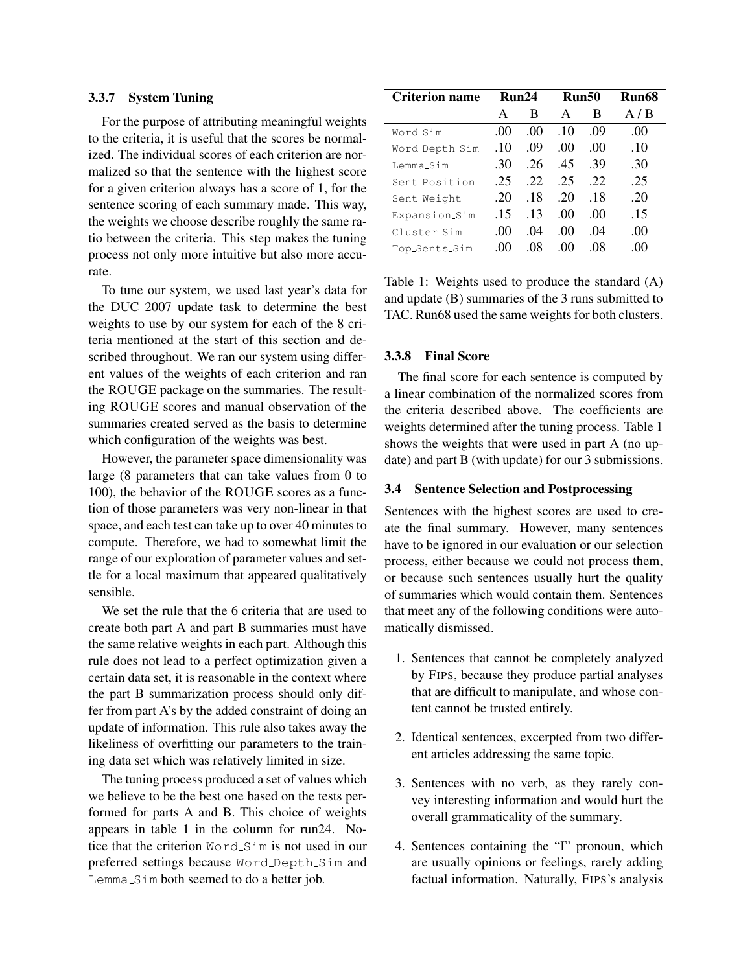#### 3.3.7 System Tuning

For the purpose of attributing meaningful weights to the criteria, it is useful that the scores be normalized. The individual scores of each criterion are normalized so that the sentence with the highest score for a given criterion always has a score of 1, for the sentence scoring of each summary made. This way, the weights we choose describe roughly the same ratio between the criteria. This step makes the tuning process not only more intuitive but also more accurate.

To tune our system, we used last year's data for the DUC 2007 update task to determine the best weights to use by our system for each of the 8 criteria mentioned at the start of this section and described throughout. We ran our system using different values of the weights of each criterion and ran the ROUGE package on the summaries. The resulting ROUGE scores and manual observation of the summaries created served as the basis to determine which configuration of the weights was best.

However, the parameter space dimensionality was large (8 parameters that can take values from 0 to 100), the behavior of the ROUGE scores as a function of those parameters was very non-linear in that space, and each test can take up to over 40 minutes to compute. Therefore, we had to somewhat limit the range of our exploration of parameter values and settle for a local maximum that appeared qualitatively sensible.

We set the rule that the 6 criteria that are used to create both part A and part B summaries must have the same relative weights in each part. Although this rule does not lead to a perfect optimization given a certain data set, it is reasonable in the context where the part B summarization process should only differ from part A's by the added constraint of doing an update of information. This rule also takes away the likeliness of overfitting our parameters to the training data set which was relatively limited in size.

The tuning process produced a set of values which we believe to be the best one based on the tests performed for parts A and B. This choice of weights appears in table 1 in the column for run24. Notice that the criterion Word Sim is not used in our preferred settings because Word Depth Sim and Lemma Sim both seemed to do a better job.

| <b>Criterion name</b>  | Run24            |                  | Run50 |     | Run68 |
|------------------------|------------------|------------------|-------|-----|-------|
|                        | A                | В                | A     | в   | A/B   |
| Word_Sim               | .00 <sub>1</sub> | .00 <sub>1</sub> | .10   | .09 | .00   |
| Word_Depth_Sim         | .10              | .09              | .00   | .00 | .10   |
| Lemma <sub>-</sub> Sim | .30              | .26              | .45   | .39 | .30   |
| Sent_Position          | .25              | .22              | .25   | .22 | .25   |
| Sent_Weight            | .20              | .18              | .20   | .18 | .20   |
| Expansion_Sim          | .15              | .13              | .00.  | .00 | .15   |
| Cluster Sim            | .00.             | .04              | .00.  | .04 | .00   |
| Top_Sents_Sim          | .00 <sub>1</sub> | .08              | .00   | .08 | (0()  |

Table 1: Weights used to produce the standard (A) and update (B) summaries of the 3 runs submitted to TAC. Run68 used the same weights for both clusters.

### 3.3.8 Final Score

The final score for each sentence is computed by a linear combination of the normalized scores from the criteria described above. The coefficients are weights determined after the tuning process. Table 1 shows the weights that were used in part A (no update) and part B (with update) for our 3 submissions.

# 3.4 Sentence Selection and Postprocessing

Sentences with the highest scores are used to create the final summary. However, many sentences have to be ignored in our evaluation or our selection process, either because we could not process them, or because such sentences usually hurt the quality of summaries which would contain them. Sentences that meet any of the following conditions were automatically dismissed.

- 1. Sentences that cannot be completely analyzed by FIPS, because they produce partial analyses that are difficult to manipulate, and whose content cannot be trusted entirely.
- 2. Identical sentences, excerpted from two different articles addressing the same topic.
- 3. Sentences with no verb, as they rarely convey interesting information and would hurt the overall grammaticality of the summary.
- 4. Sentences containing the "I" pronoun, which are usually opinions or feelings, rarely adding factual information. Naturally, FIPS's analysis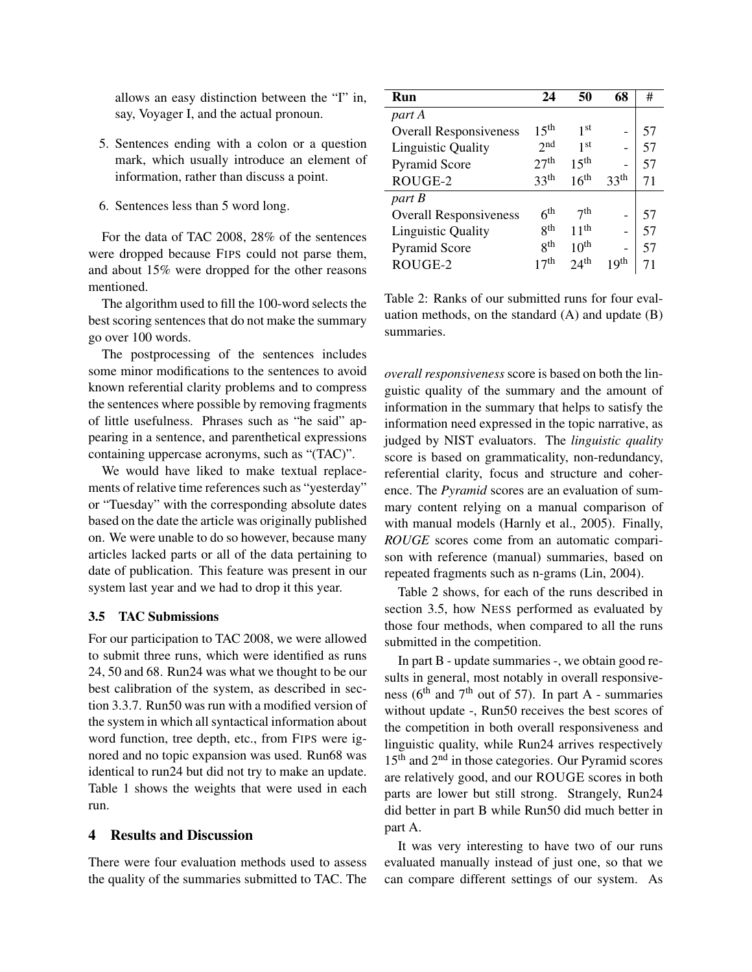allows an easy distinction between the "I" in, say, Voyager I, and the actual pronoun.

- 5. Sentences ending with a colon or a question mark, which usually introduce an element of information, rather than discuss a point.
- 6. Sentences less than 5 word long.

For the data of TAC 2008, 28% of the sentences were dropped because FIPS could not parse them, and about 15% were dropped for the other reasons mentioned.

The algorithm used to fill the 100-word selects the best scoring sentences that do not make the summary go over 100 words.

The postprocessing of the sentences includes some minor modifications to the sentences to avoid known referential clarity problems and to compress the sentences where possible by removing fragments of little usefulness. Phrases such as "he said" appearing in a sentence, and parenthetical expressions containing uppercase acronyms, such as "(TAC)".

We would have liked to make textual replacements of relative time references such as "yesterday" or "Tuesday" with the corresponding absolute dates based on the date the article was originally published on. We were unable to do so however, because many articles lacked parts or all of the data pertaining to date of publication. This feature was present in our system last year and we had to drop it this year.

#### 3.5 TAC Submissions

For our participation to TAC 2008, we were allowed to submit three runs, which were identified as runs 24, 50 and 68. Run24 was what we thought to be our best calibration of the system, as described in section 3.3.7. Run50 was run with a modified version of the system in which all syntactical information about word function, tree depth, etc., from FIPS were ignored and no topic expansion was used. Run68 was identical to run24 but did not try to make an update. Table 1 shows the weights that were used in each run.

# 4 Results and Discussion

There were four evaluation methods used to assess the quality of the summaries submitted to TAC. The

| Run                           | 24                | 50                | 68               | #  |
|-------------------------------|-------------------|-------------------|------------------|----|
| part A                        |                   |                   |                  |    |
| <b>Overall Responsiveness</b> | 1.5 <sup>th</sup> | 1st               |                  | 57 |
| <b>Linguistic Quality</b>     | 2nd               | 1 <sup>st</sup>   |                  | 57 |
| <b>Pyramid Score</b>          | 27 <sup>th</sup>  | 1.5 <sup>th</sup> |                  | 57 |
| ROUGE-2                       | 33 <sup>th</sup>  | 16 <sup>th</sup>  | 33 <sup>th</sup> | 71 |
| part B                        |                   |                   |                  |    |
| <b>Overall Responsiveness</b> | $6^{\rm th}$      | 7 <sup>th</sup>   |                  | 57 |
| <b>Linguistic Quality</b>     | gth               | 11 <sup>th</sup>  |                  | 57 |
| <b>Pyramid Score</b>          | gth               | 10 <sup>th</sup>  |                  | 57 |
| ROUGE-2                       | 7th               | 24 <sup>th</sup>  | 19 <sup>th</sup> |    |

Table 2: Ranks of our submitted runs for four evaluation methods, on the standard (A) and update (B) summaries.

*overall responsiveness* score is based on both the linguistic quality of the summary and the amount of information in the summary that helps to satisfy the information need expressed in the topic narrative, as judged by NIST evaluators. The *linguistic quality* score is based on grammaticality, non-redundancy, referential clarity, focus and structure and coherence. The *Pyramid* scores are an evaluation of summary content relying on a manual comparison of with manual models (Harnly et al., 2005). Finally, *ROUGE* scores come from an automatic comparison with reference (manual) summaries, based on repeated fragments such as n-grams (Lin, 2004).

Table 2 shows, for each of the runs described in section 3.5, how NESS performed as evaluated by those four methods, when compared to all the runs submitted in the competition.

In part B - update summaries -, we obtain good results in general, most notably in overall responsiveness ( $6<sup>th</sup>$  and  $7<sup>th</sup>$  out of 57). In part A - summaries without update -, Run50 receives the best scores of the competition in both overall responsiveness and linguistic quality, while Run24 arrives respectively 15<sup>th</sup> and 2<sup>nd</sup> in those categories. Our Pyramid scores are relatively good, and our ROUGE scores in both parts are lower but still strong. Strangely, Run24 did better in part B while Run50 did much better in part A.

It was very interesting to have two of our runs evaluated manually instead of just one, so that we can compare different settings of our system. As